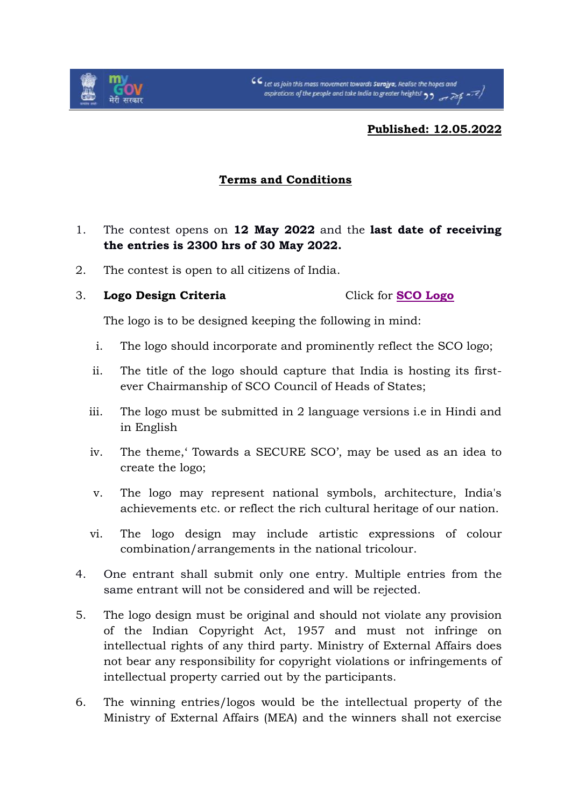

**Published: 12.05.2022**

## **Terms and Conditions**

- 1. The contest opens on **12 May 2022** and the **last date of receiving the entries is 2300 hrs of 30 May 2022.**
- 2. The contest is open to all citizens of India.
- 3. **Logo Design Criteria** Click for **[SCO Logo](https://static.mygov.in/rest/s3fs-public/mygov_165226639497687021.pdf)**

The logo is to be designed keeping the following in mind:

- i. The logo should incorporate and prominently reflect the SCO logo;
- ii. The title of the logo should capture that India is hosting its firstever Chairmanship of SCO Council of Heads of States;
- iii. The logo must be submitted in 2 language versions i.e in Hindi and in English
- iv. The theme,' Towards a SECURE SCO', may be used as an idea to create the logo;
- v. The logo may represent national symbols, architecture, India's achievements etc. or reflect the rich cultural heritage of our nation.
- vi. The logo design may include artistic expressions of colour combination/arrangements in the national tricolour.
- 4. One entrant shall submit only one entry. Multiple entries from the same entrant will not be considered and will be rejected.
- 5. The logo design must be original and should not violate any provision of the Indian Copyright Act, 1957 and must not infringe on intellectual rights of any third party. Ministry of External Affairs does not bear any responsibility for copyright violations or infringements of intellectual property carried out by the participants.
- 6. The winning entries/logos would be the intellectual property of the Ministry of External Affairs (MEA) and the winners shall not exercise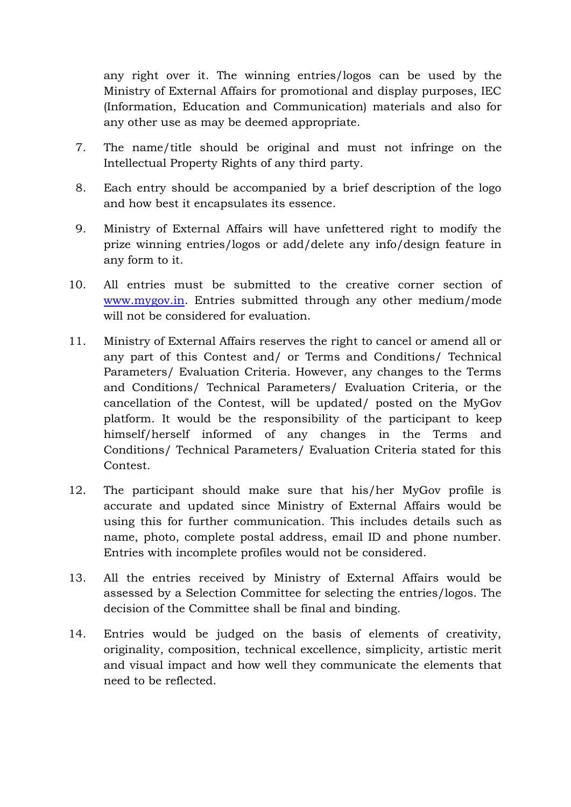any right over it. The winning entries/logos can be used by the Ministry of External Affairs for promotional and display purposes, IEC (Information, Education and Communication) materials and also for any other use as may be deemed appropriate.

- 7. The name/title should be original and must not infringe on the Intellectual Property Rights of any third party.
- 8. Each entry should be accompanied by a brief description of the logo and how best it encapsulates its essence.
- 9. Ministry of External Affairs will have unfettered right to modify the prize winning entries/logos or add/delete any info/design feature in any form to it.
- 10. All entries must be submitted to the creative corner section of [www.mygov.in.](http://www.mygov.in/) Entries submitted through any other medium/mode will not be considered for evaluation.
- 11. Ministry of External Affairs reserves the right to cancel or amend all or any part of this Contest and/ or Terms and Conditions/ Technical Parameters/ Evaluation Criteria. However, any changes to the Terms and Conditions/ Technical Parameters/ Evaluation Criteria, or the cancellation of the Contest, will be updated/ posted on the MyGov platform. It would be the responsibility of the participant to keep himself/herself informed of any changes in the Terms and Conditions/ Technical Parameters/ Evaluation Criteria stated for this Contest.
- 12. The participant should make sure that his/her MyGov profile is accurate and updated since Ministry of External Affairs would be using this for further communication. This includes details such as name, photo, complete postal address, email ID and phone number. Entries with incomplete profiles would not be considered.
- 13. All the entries received by Ministry of External Affairs would be assessed by a Selection Committee for selecting the entries/logos. The decision of the Committee shall be final and binding.
- 14. Entries would be judged on the basis of elements of creativity, originality, composition, technical excellence, simplicity, artistic merit and visual impact and how well they communicate the elements that need to be reflected.